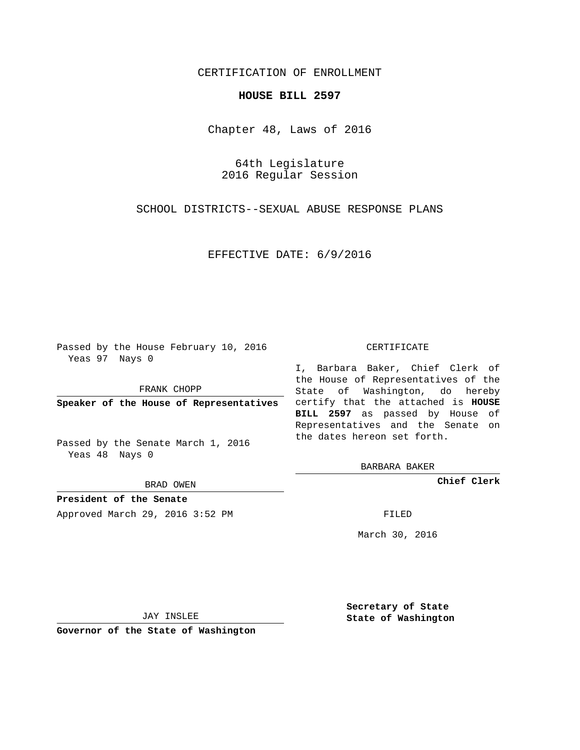## CERTIFICATION OF ENROLLMENT

### **HOUSE BILL 2597**

Chapter 48, Laws of 2016

64th Legislature 2016 Regular Session

SCHOOL DISTRICTS--SEXUAL ABUSE RESPONSE PLANS

EFFECTIVE DATE: 6/9/2016

Passed by the House February 10, 2016 Yeas 97 Nays 0

FRANK CHOPP

Passed by the Senate March 1, 2016 Yeas 48 Nays 0

BRAD OWEN

**President of the Senate**

Approved March 29, 2016 3:52 PM FILED

#### CERTIFICATE

**Speaker of the House of Representatives** certify that the attached is **HOUSE** I, Barbara Baker, Chief Clerk of the House of Representatives of the State of Washington, do hereby **BILL 2597** as passed by House of Representatives and the Senate on the dates hereon set forth.

BARBARA BAKER

**Chief Clerk**

March 30, 2016

JAY INSLEE

**Governor of the State of Washington**

**Secretary of State State of Washington**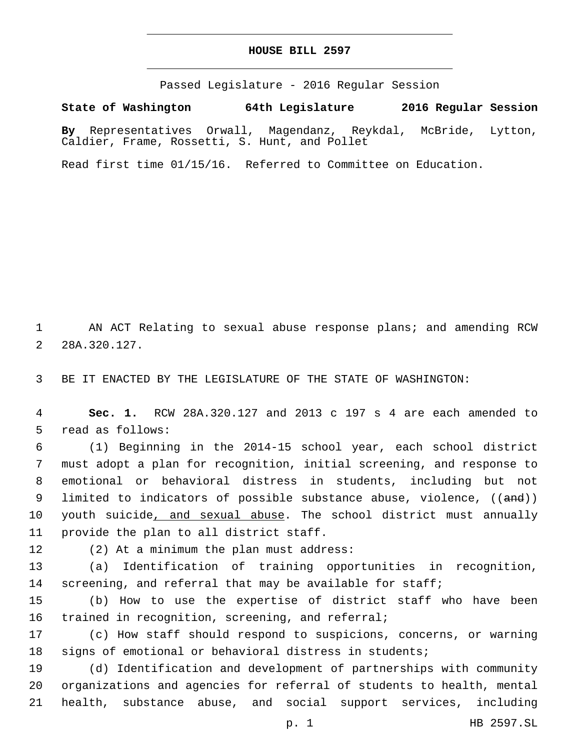## **HOUSE BILL 2597**

Passed Legislature - 2016 Regular Session

**State of Washington 64th Legislature 2016 Regular Session**

**By** Representatives Orwall, Magendanz, Reykdal, McBride, Lytton, Caldier, Frame, Rossetti, S. Hunt, and Pollet

Read first time 01/15/16. Referred to Committee on Education.

1 AN ACT Relating to sexual abuse response plans; and amending RCW 2 28A.320.127.

3 BE IT ENACTED BY THE LEGISLATURE OF THE STATE OF WASHINGTON:

4 **Sec. 1.** RCW 28A.320.127 and 2013 c 197 s 4 are each amended to 5 read as follows:

6 (1) Beginning in the 2014-15 school year, each school district 7 must adopt a plan for recognition, initial screening, and response to 8 emotional or behavioral distress in students, including but not 9 limited to indicators of possible substance abuse, violence, ((and)) 10 youth suicide, and sexual abuse. The school district must annually 11 provide the plan to all district staff.

12 (2) At a minimum the plan must address:

13 (a) Identification of training opportunities in recognition, 14 screening, and referral that may be available for staff;

15 (b) How to use the expertise of district staff who have been 16 trained in recognition, screening, and referral;

17 (c) How staff should respond to suspicions, concerns, or warning 18 signs of emotional or behavioral distress in students;

19 (d) Identification and development of partnerships with community 20 organizations and agencies for referral of students to health, mental 21 health, substance abuse, and social support services, including